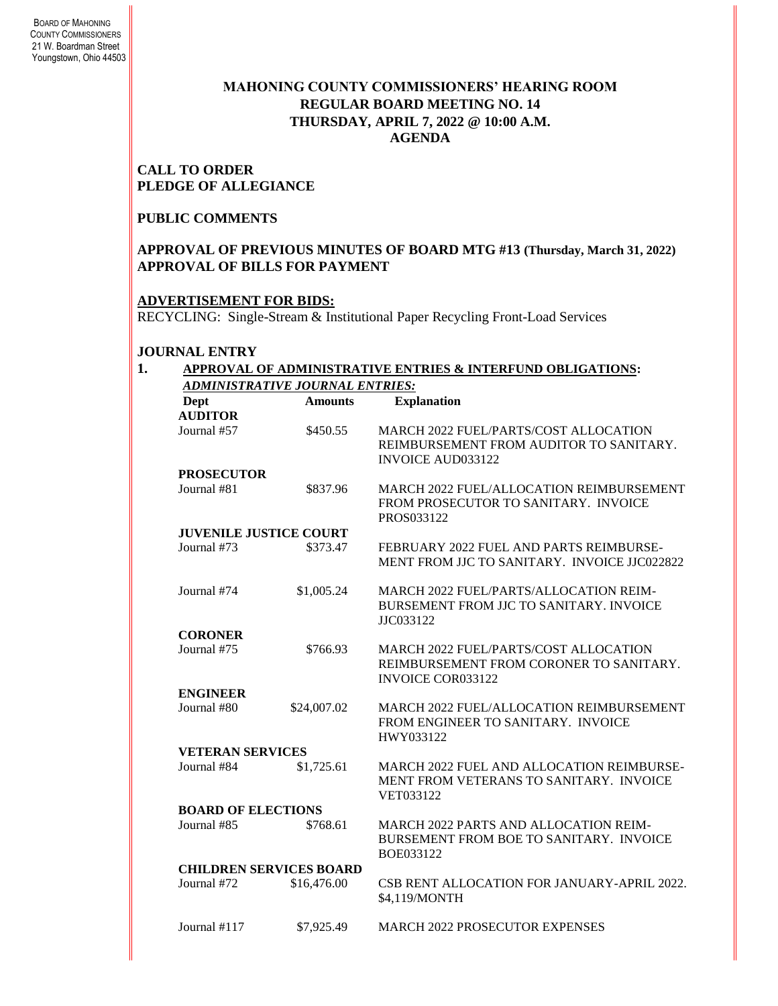# **MAHONING COUNTY COMMISSIONERS' HEARING ROOM REGULAR BOARD MEETING NO. 14 THURSDAY***,* **APRIL 7, 2022 @ 10:00 A.M. AGENDA**

### **CALL TO ORDER PLEDGE OF ALLEGIANCE**

### **PUBLIC COMMENTS**

### **APPROVAL OF PREVIOUS MINUTES OF BOARD MTG #13 (Thursday, March 31, 2022) APPROVAL OF BILLS FOR PAYMENT**

# **ADVERTISEMENT FOR BIDS:**

RECYCLING: Single-Stream & Institutional Paper Recycling Front-Load Services

### **JOURNAL ENTRY**

#### **1. APPROVAL OF ADMINISTRATIVE ENTRIES & INTERFUND OBLIGATIONS:**  *ADMINISTRATIVE JOURNAL ENTRIES:*

| Dept<br><b>AUDITOR</b>         | <b>Amounts</b>                | <b>Explanation</b>                                                                                                  |  |  |  |
|--------------------------------|-------------------------------|---------------------------------------------------------------------------------------------------------------------|--|--|--|
| Journal #57                    | \$450.55                      | <b>MARCH 2022 FUEL/PARTS/COST ALLOCATION</b><br>REIMBURSEMENT FROM AUDITOR TO SANITARY.<br><b>INVOICE AUD033122</b> |  |  |  |
| <b>PROSECUTOR</b>              |                               |                                                                                                                     |  |  |  |
| Journal #81                    | \$837.96                      | MARCH 2022 FUEL/ALLOCATION REIMBURSEMENT<br>FROM PROSECUTOR TO SANITARY. INVOICE<br>PROS033122                      |  |  |  |
|                                | <b>JUVENILE JUSTICE COURT</b> |                                                                                                                     |  |  |  |
| Journal #73                    | \$373.47                      | FEBRUARY 2022 FUEL AND PARTS REIMBURSE-<br>MENT FROM JJC TO SANITARY. INVOICE JJC022822                             |  |  |  |
| Journal #74                    | \$1,005.24                    | <b>MARCH 2022 FUEL/PARTS/ALLOCATION REIM-</b><br>BURSEMENT FROM JJC TO SANITARY. INVOICE<br>JJC033122               |  |  |  |
| <b>CORONER</b>                 |                               |                                                                                                                     |  |  |  |
| Journal #75                    | \$766.93                      | <b>MARCH 2022 FUEL/PARTS/COST ALLOCATION</b><br>REIMBURSEMENT FROM CORONER TO SANITARY.<br><b>INVOICE COR033122</b> |  |  |  |
| <b>ENGINEER</b>                |                               |                                                                                                                     |  |  |  |
| Journal #80                    | \$24,007.02                   | MARCH 2022 FUEL/ALLOCATION REIMBURSEMENT<br>FROM ENGINEER TO SANITARY. INVOICE<br>HWY033122                         |  |  |  |
| <b>VETERAN SERVICES</b>        |                               |                                                                                                                     |  |  |  |
| Journal #84                    | \$1,725.61                    | MARCH 2022 FUEL AND ALLOCATION REIMBURSE-<br>MENT FROM VETERANS TO SANITARY. INVOICE<br>VET033122                   |  |  |  |
| <b>BOARD OF ELECTIONS</b>      |                               |                                                                                                                     |  |  |  |
| Journal #85                    | \$768.61                      | <b>MARCH 2022 PARTS AND ALLOCATION REIM-</b><br>BURSEMENT FROM BOE TO SANITARY. INVOICE<br>BOE033122                |  |  |  |
| <b>CHILDREN SERVICES BOARD</b> |                               |                                                                                                                     |  |  |  |
| Journal #72                    | \$16,476.00                   | CSB RENT ALLOCATION FOR JANUARY-APRIL 2022.<br>\$4,119/MONTH                                                        |  |  |  |
| Journal #117                   | \$7,925.49                    | <b>MARCH 2022 PROSECUTOR EXPENSES</b>                                                                               |  |  |  |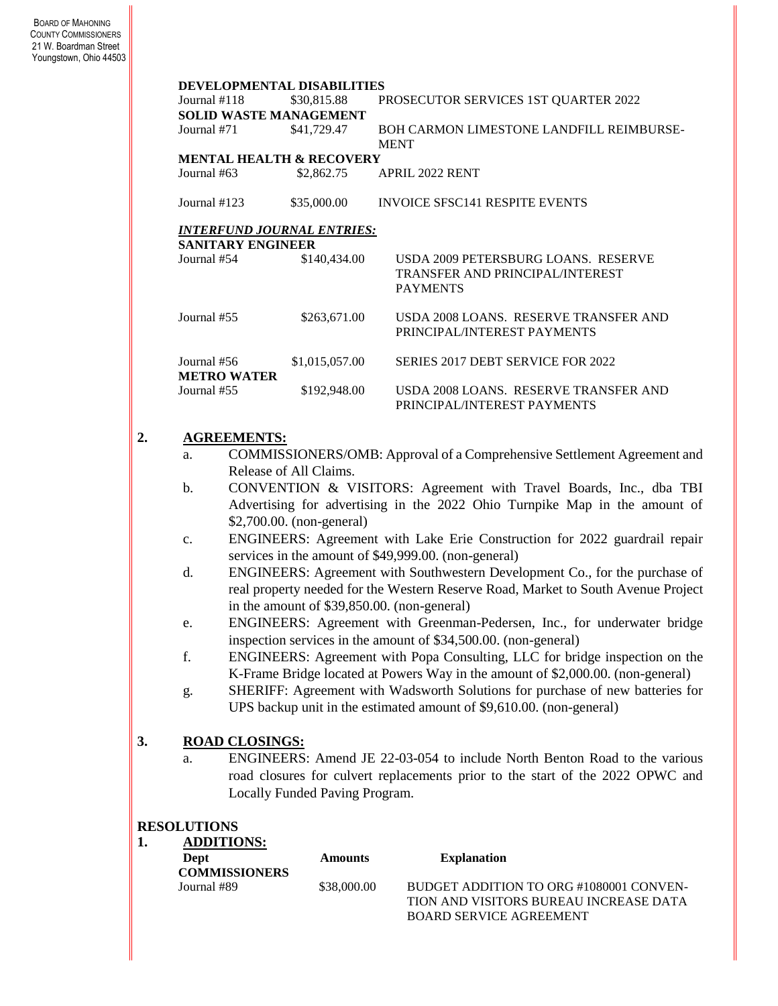| DEVELOPMENTAL DISABILITIES               |                |                                                                                                  |  |  |  |
|------------------------------------------|----------------|--------------------------------------------------------------------------------------------------|--|--|--|
| Journal #118                             | \$30,815.88    | PROSECUTOR SERVICES 1ST QUARTER 2022                                                             |  |  |  |
| <b>SOLID WASTE MANAGEMENT</b>            |                |                                                                                                  |  |  |  |
| Journal #71                              | \$41,729.47    | BOH CARMON LIMESTONE LANDFILL REIMBURSE-<br><b>MENT</b>                                          |  |  |  |
| <b>MENTAL HEALTH &amp; RECOVERY</b>      |                |                                                                                                  |  |  |  |
| Journal $#63$                            | \$2,862.75     | <b>APRIL 2022 RENT</b>                                                                           |  |  |  |
| Journal $#123$                           | \$35,000.00    | <b>INVOICE SFSC141 RESPITE EVENTS</b>                                                            |  |  |  |
| <i><b>INTERFUND JOURNAL ENTRIES:</b></i> |                |                                                                                                  |  |  |  |
| SANITARY ENGINEER                        |                |                                                                                                  |  |  |  |
| Journal #54                              | \$140,434.00   | USDA 2009 PETERSBURG LOANS. RESERVE<br><b>TRANSFER AND PRINCIPAL/INTEREST</b><br><b>PAYMENTS</b> |  |  |  |
| $I$ <sub>O</sub> urnal $#55$             | \$263,671.00   | USDA 2008 LOANS. RESERVE TRANSFER AND<br>PRINCIPAL/INTEREST PAYMENTS                             |  |  |  |
| Journal #56<br><b>METRO WATER</b>        | \$1,015,057.00 | SERIES 2017 DEBT SERVICE FOR 2022                                                                |  |  |  |
| Journal #55                              | \$192,948.00   | USDA 2008 LOANS. RESERVE TRANSFER AND<br>PRINCIPAL/INTEREST PAYMENTS                             |  |  |  |

# **2. AGREEMENTS:**

- a. COMMISSIONERS/OMB: Approval of a Comprehensive Settlement Agreement and Release of All Claims.
- b. CONVENTION & VISITORS: Agreement with Travel Boards, Inc., dba TBI Advertising for advertising in the 2022 Ohio Turnpike Map in the amount of \$2,700.00. (non-general)
- c. ENGINEERS: Agreement with Lake Erie Construction for 2022 guardrail repair services in the amount of \$49,999.00. (non-general)
- d. ENGINEERS: Agreement with Southwestern Development Co., for the purchase of real property needed for the Western Reserve Road, Market to South Avenue Project in the amount of \$39,850.00. (non-general)
- e. ENGINEERS: Agreement with Greenman-Pedersen, Inc., for underwater bridge inspection services in the amount of \$34,500.00. (non-general)
- f. ENGINEERS: Agreement with Popa Consulting, LLC for bridge inspection on the K-Frame Bridge located at Powers Way in the amount of \$2,000.00. (non-general)
- g. SHERIFF: Agreement with Wadsworth Solutions for purchase of new batteries for UPS backup unit in the estimated amount of \$9,610.00. (non-general)

# **3. ROAD CLOSINGS:**

a. ENGINEERS: Amend JE 22-03-054 to include North Benton Road to the various road closures for culvert replacements prior to the start of the 2022 OPWC and Locally Funded Paving Program.

### **RESOLUTIONS**

**1. ADDITIONS:**

| Dept<br><b>COMMISSIONERS</b> | <b>Amounts</b> | <b>Explanation</b>                      |
|------------------------------|----------------|-----------------------------------------|
| Journal #89                  | \$38,000.00    | BUDGET ADDITION TO ORG #1080001 CONVEN- |
|                              |                | TION AND VISITORS BUREAU INCREASE DATA  |
|                              |                | <b>BOARD SERVICE AGREEMENT</b>          |